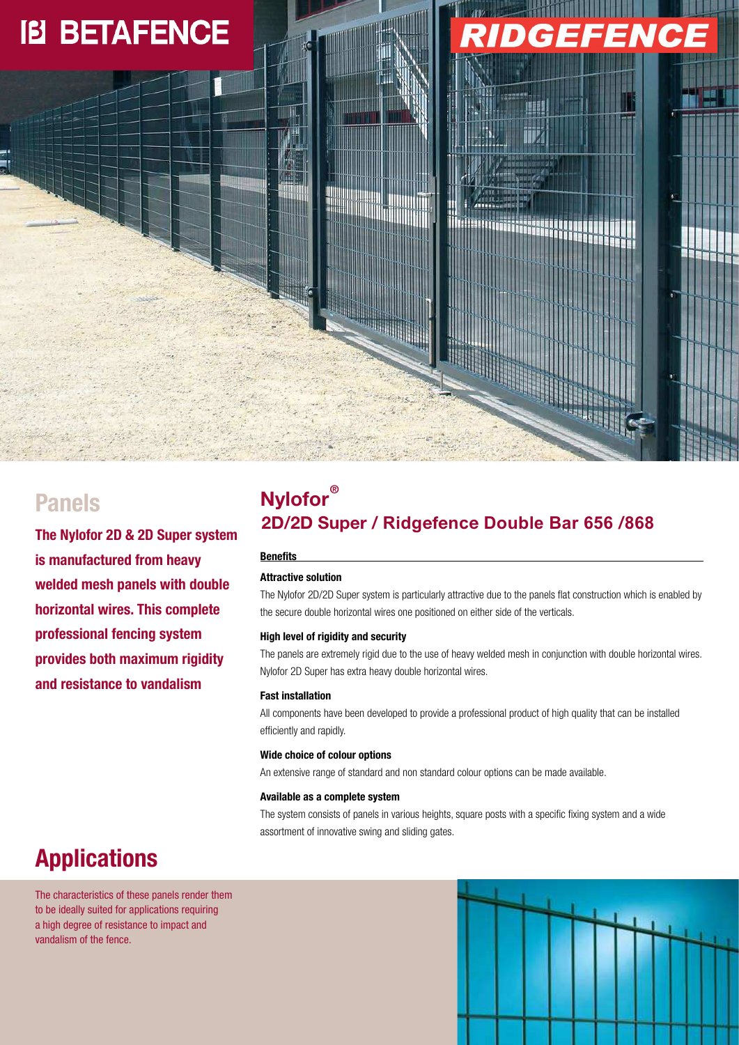# **IB BETAFENCE**



### **Panels**

**The Nylofor 2D & 2D Super system is manufactured from heavy welded mesh panels with double horizontal wires. This complete professional fencing system provides both maximum rigidity and resistance to vandalism** 

### **Nylofor® 2D/2D Super / Ridgefenc e Double 656 Bar / 868**

### **Benefits**

### **Attractive solution**

The Nylofor 2D/2D Super system is particularly attractive due to the panels flat construction which is enabled by the secure double horizontal wires one positioned on either side of the verticals.

#### **High level of rigidity and security**

The panels are extremely rigid due to the use of heavy welded mesh in conjunction with double horizontal wires. Nylofor 2D Super has extra heavy double horizontal wires.

#### **Fast installation**

All components have been developed to provide a professional product of high quality that can be installed efficiently and rapidly.

#### **Wide choice of colour options**

An extensive range of standard and non standard colour options can be made available.

#### **Available as a complete system**

The system consists of panels in various heights, square posts with a specific fixing system and a wide assortment of innovative swing and sliding gates.

## **Applications**

The characteristics of these panels render them to be ideally suited for applications requiring a high degree of resistance to impact and vandalism of the fence.